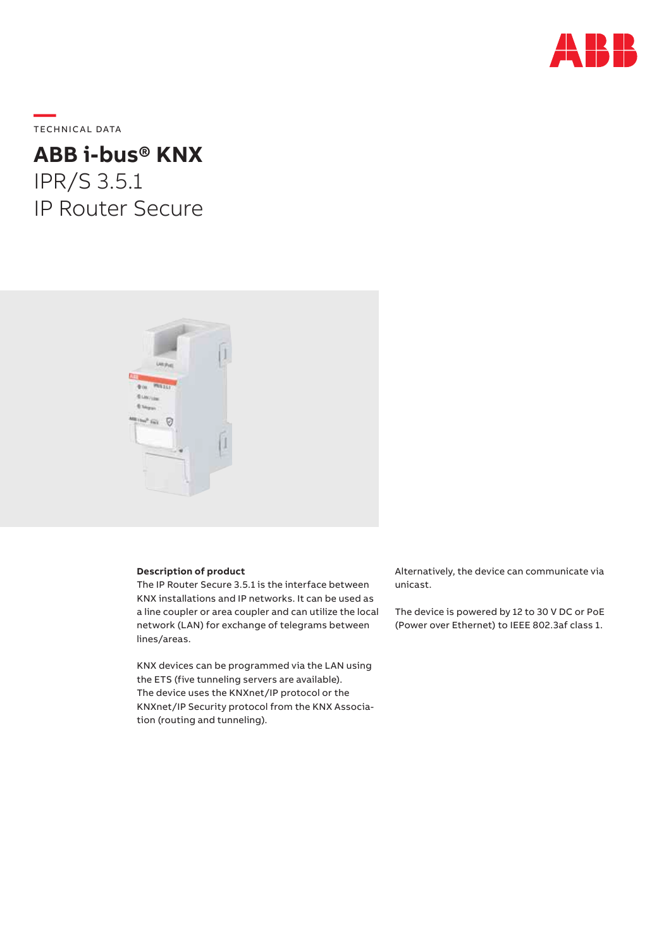

**—**  TECHNICAL DATA

# **ABB i-bus® KNX** IPR/S 3.5.1 IP Router Secure



# **Description of product**

The IP Router Secure 3.5.1 is the interface between KNX installations and IP networks. It can be used as a line coupler or area coupler and can utilize the local network (LAN) for exchange of telegrams between lines/areas.

KNX devices can be programmed via the LAN using the ETS (five tunneling servers are available). The device uses the KNXnet/IP protocol or the KNXnet/IP Security protocol from the KNX Association (routing and tunneling).

Alternatively, the device can communicate via unicast.

The device is powered by 12 to 30 V DC or PoE (Power over Ethernet) to IEEE 802.3af class 1.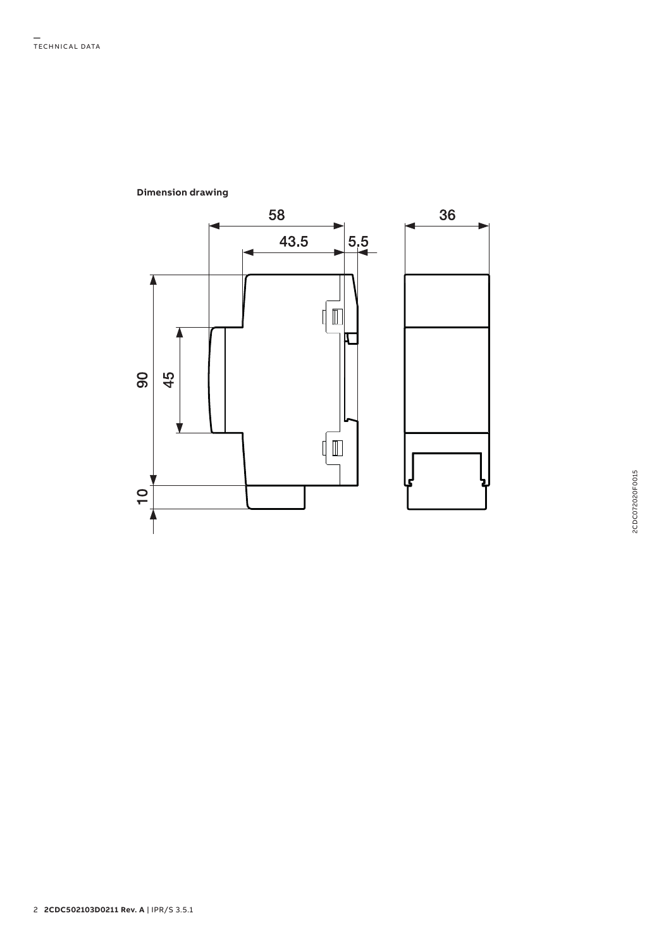

# **Dimension drawing**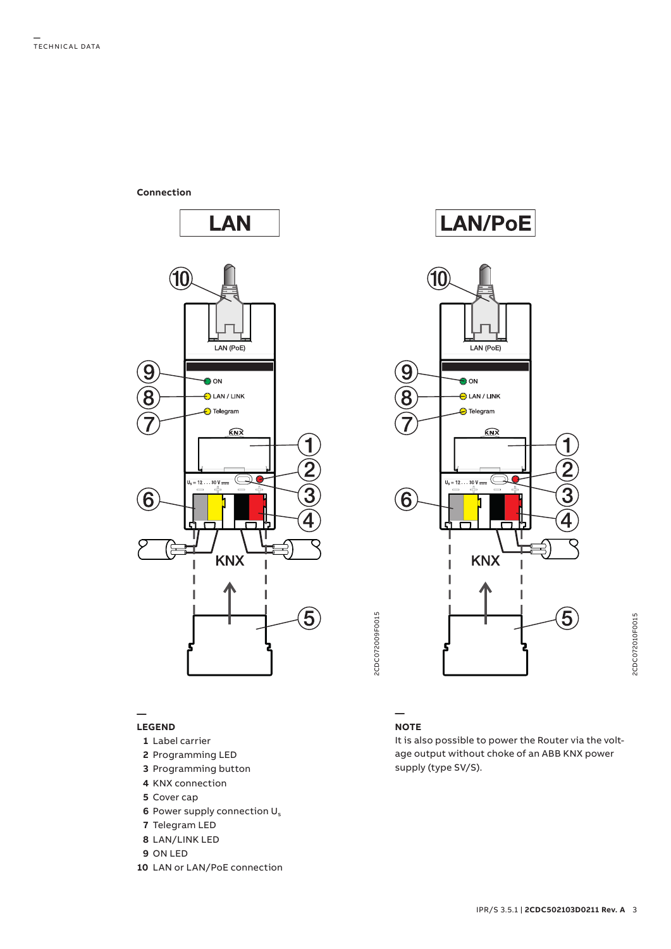**Connection**



### **— LEGEND**

- **1** Label carrier
- **2** Programming LED
- **3** Programming button
- **4** KNX connection
- **5** Cover cap
- **6** Power supply connection U<sub>s</sub>
- **7** Telegram LED
- **8** LAN/LINK LED
- **9** ON LED
- **10** LAN or LAN/PoE connection





# **NOTE**

**—**

It is also possible to power the Router via the voltage output without choke of an ABB KNX power supply (type SV/S).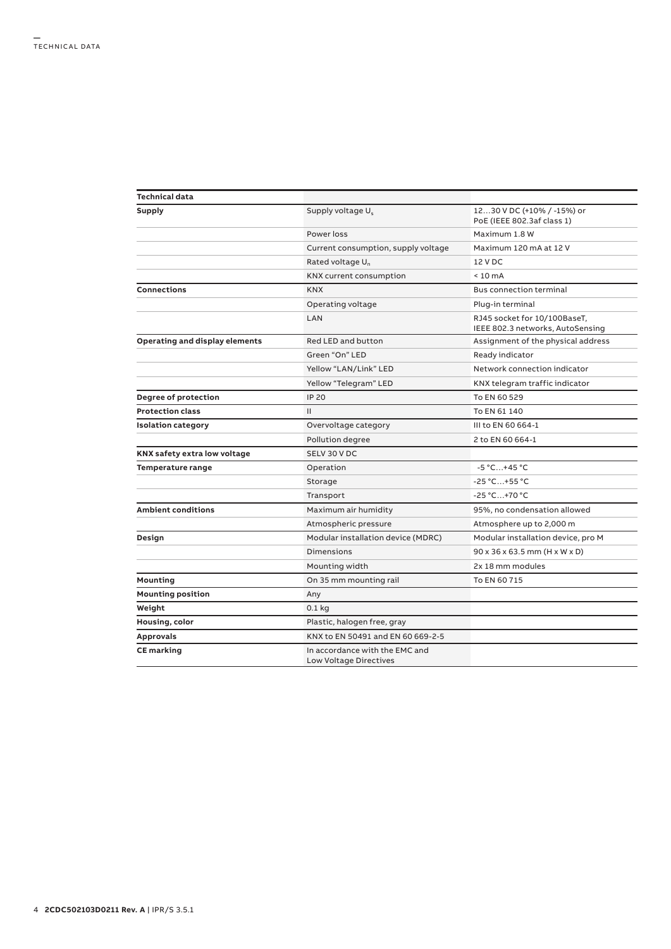| Technical data                 |                                                                 |                                                                  |
|--------------------------------|-----------------------------------------------------------------|------------------------------------------------------------------|
| Supply                         | Supply voltage U <sub>s</sub>                                   | 1230 V DC (+10% / -15%) or<br>PoE (IEEE 802.3af class 1)         |
|                                | Power loss                                                      | Maximum 1.8 W                                                    |
|                                | Current consumption, supply voltage                             | Maximum 120 mA at 12 V                                           |
|                                | Rated voltage U <sub>n</sub>                                    | 12 V DC                                                          |
|                                | KNX current consumption                                         | $< 10 \text{ mA}$                                                |
| Connections                    | <b>KNX</b>                                                      | <b>Bus connection terminal</b>                                   |
|                                | Operating voltage                                               | Plug-in terminal                                                 |
|                                | LAN                                                             | RJ45 socket for 10/100BaseT,<br>IEEE 802.3 networks, AutoSensing |
| Operating and display elements | Red LED and button                                              | Assignment of the physical address                               |
|                                | Green "On" LED                                                  | Ready indicator                                                  |
|                                | Yellow "LAN/Link" LED                                           | Network connection indicator                                     |
|                                | Yellow "Telegram" LED                                           | KNX telegram traffic indicator                                   |
| Degree of protection           | <b>IP 20</b>                                                    | To EN 60 529                                                     |
| <b>Protection class</b>        | $\mathbf{H}$                                                    | To EN 61 140                                                     |
| <b>Isolation category</b>      | Overvoltage category                                            | III to EN 60 664-1                                               |
|                                | Pollution degree                                                | 2 to EN 60 664-1                                                 |
| KNX safety extra low voltage   | SELV 30 V DC                                                    |                                                                  |
| Temperature range              | Operation                                                       | $-5 °C+45 °C$                                                    |
|                                | Storage                                                         | $-25 °C+55 °C$                                                   |
|                                | Transport                                                       | $-25 °C+70 °C$                                                   |
| <b>Ambient conditions</b>      | Maximum air humidity                                            | 95%, no condensation allowed                                     |
|                                | Atmospheric pressure                                            | Atmosphere up to 2,000 m                                         |
| Design                         | Modular installation device (MDRC)                              | Modular installation device, pro M                               |
|                                | <b>Dimensions</b>                                               | 90 x 36 x 63.5 mm (H x W x D)                                    |
|                                | Mounting width                                                  | 2x 18 mm modules                                                 |
| Mounting                       | On 35 mm mounting rail                                          | To EN 60 715                                                     |
| <b>Mounting position</b>       | Any                                                             |                                                                  |
| Weight                         | $0.1$ kg                                                        |                                                                  |
| Housing, color                 | Plastic, halogen free, gray                                     |                                                                  |
| <b>Approvals</b>               | KNX to EN 50491 and EN 60 669-2-5                               |                                                                  |
| <b>CE</b> marking              | In accordance with the EMC and<br><b>Low Voltage Directives</b> |                                                                  |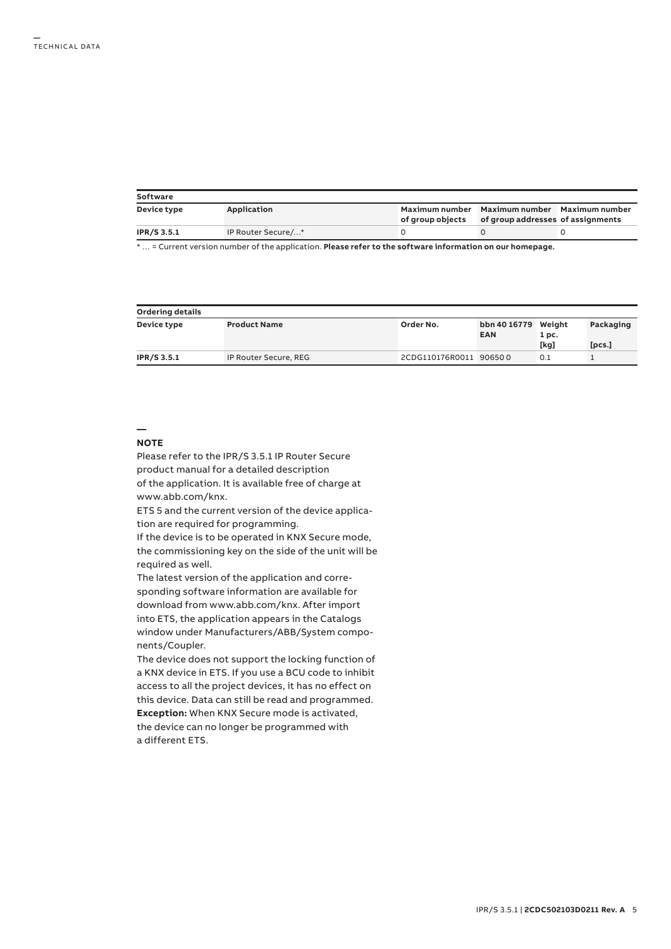| Software           |                    |                  |                                                                                   |  |  |  |  |
|--------------------|--------------------|------------------|-----------------------------------------------------------------------------------|--|--|--|--|
| Device type        | Application        | of group objects | Maximum number Maximum number Maximum number<br>of group addresses of assignments |  |  |  |  |
| <b>IPR/S 3.5.1</b> | IP Router Secure/* |                  |                                                                                   |  |  |  |  |

\* … = Current version number of the application. **Please refer to the software information on our homepage.**

| <b>Ordering details</b> |                       |                        |                                   |       |           |  |  |  |
|-------------------------|-----------------------|------------------------|-----------------------------------|-------|-----------|--|--|--|
| Device type             | <b>Product Name</b>   | Order No.              | bbn 40 16779 Weight<br><b>EAN</b> | 1 pc. | Packaging |  |  |  |
|                         |                       |                        |                                   | [kg]  | [pcs.]    |  |  |  |
| <b>IPR/S 3.5.1</b>      | IP Router Secure, REG | 2CDG110176R0011 906500 |                                   | 0.1   |           |  |  |  |

## **— NOTE**

Please refer to the IPR/S 3.5.1 IP Router Secure product manual for a detailed description of the application. It is available free of charge at www.abb.com/knx.

ETS 5 and the current version of the device application are required for programming.

If the device is to be operated in KNX Secure mode, the commissioning key on the side of the unit will be required as well.

The latest version of the application and corresponding software information are available for download from www.abb.com/knx. After import into ETS, the application appears in the Catalogs window under Manufacturers/ABB/System components/Coupler.

The device does not support the locking function of a KNX device in ETS. If you use a BCU code to inhibit access to all the project devices, it has no effect on this device. Data can still be read and programmed. **Exception:** When KNX Secure mode is activated, the device can no longer be programmed with a different ETS.